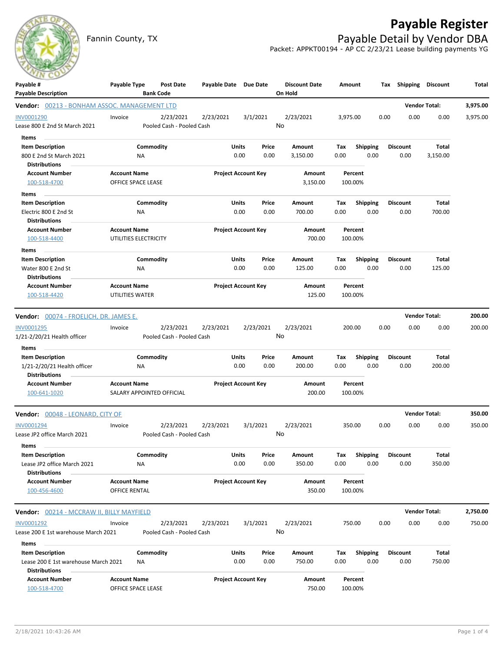

## **Payable Register**

Fannin County, TX **Payable Detail by Vendor DBA** Packet: APPKT00194 - AP CC 2/23/21 Lease building payments YG

| $\sim$<br>Payable #                              | Payable Type          | Post Date                              | Payable Date Due Date |       |                            | <b>Discount Date</b> |          | Amount          |      | Tax Shipping Discount |                      | Total    |
|--------------------------------------------------|-----------------------|----------------------------------------|-----------------------|-------|----------------------------|----------------------|----------|-----------------|------|-----------------------|----------------------|----------|
| <b>Payable Description</b>                       |                       | <b>Bank Code</b>                       |                       |       |                            | On Hold              |          |                 |      |                       |                      |          |
| Vendor: 00213 - BONHAM ASSOC. MANAGEMENT LTD     |                       |                                        |                       |       |                            |                      |          |                 |      |                       | <b>Vendor Total:</b> | 3,975.00 |
| INV0001290<br>Lease 800 E 2nd St March 2021      | Invoice               | 2/23/2021<br>Pooled Cash - Pooled Cash | 2/23/2021             |       | 3/1/2021                   | 2/23/2021<br>No      | 3,975.00 |                 | 0.00 | 0.00                  | 0.00                 | 3,975.00 |
| Items                                            |                       |                                        |                       |       |                            |                      |          |                 |      |                       |                      |          |
| <b>Item Description</b>                          |                       | Commodity                              |                       | Units | Price                      | Amount               | Tax      | <b>Shipping</b> |      | <b>Discount</b>       | Total                |          |
| 800 E 2nd St March 2021                          |                       | NA                                     |                       | 0.00  | 0.00                       | 3,150.00             | 0.00     | 0.00            |      | 0.00                  | 3,150.00             |          |
| <b>Distributions</b>                             |                       |                                        |                       |       |                            |                      |          |                 |      |                       |                      |          |
| <b>Account Number</b>                            | <b>Account Name</b>   |                                        |                       |       | <b>Project Account Key</b> | Amount               |          | Percent         |      |                       |                      |          |
| 100-518-4700                                     | OFFICE SPACE LEASE    |                                        |                       |       |                            | 3,150.00             |          | 100.00%         |      |                       |                      |          |
| Items                                            |                       |                                        |                       |       |                            |                      |          |                 |      |                       |                      |          |
| <b>Item Description</b>                          |                       | Commodity                              |                       | Units | Price                      | Amount               | Tax      | <b>Shipping</b> |      | <b>Discount</b>       | Total                |          |
| Electric 800 E 2nd St<br><b>Distributions</b>    |                       | ΝA                                     |                       | 0.00  | 0.00                       | 700.00               | 0.00     | 0.00            |      | 0.00                  | 700.00               |          |
| <b>Account Number</b>                            | <b>Account Name</b>   |                                        |                       |       | <b>Project Account Key</b> | Amount               |          | Percent         |      |                       |                      |          |
| 100-518-4400                                     | UTILITIES ELECTRICITY |                                        |                       |       |                            | 700.00               |          | 100.00%         |      |                       |                      |          |
| Items                                            |                       |                                        |                       |       |                            |                      |          |                 |      |                       |                      |          |
| <b>Item Description</b>                          |                       | Commodity                              |                       | Units | Price                      | Amount               | Tax      | Shipping        |      | <b>Discount</b>       | Total                |          |
| Water 800 E 2nd St                               |                       | ΝA                                     |                       | 0.00  | 0.00                       | 125.00               | 0.00     | 0.00            |      | 0.00                  | 125.00               |          |
| <b>Distributions</b>                             |                       |                                        |                       |       |                            |                      |          |                 |      |                       |                      |          |
| <b>Account Number</b>                            | <b>Account Name</b>   |                                        |                       |       | <b>Project Account Key</b> | <b>Amount</b>        |          | Percent         |      |                       |                      |          |
| 100-518-4420                                     | UTILITIES WATER       |                                        |                       |       |                            | 125.00               |          | 100.00%         |      |                       |                      |          |
| <b>Vendor:</b> 00074 - FROELICH, DR. JAMES E.    |                       |                                        |                       |       |                            |                      |          |                 |      |                       | <b>Vendor Total:</b> | 200.00   |
| INV0001295                                       | Invoice               | 2/23/2021                              | 2/23/2021             |       | 2/23/2021                  | 2/23/2021            |          | 200.00          | 0.00 | 0.00                  | 0.00                 | 200.00   |
| 1/21-2/20/21 Health officer                      |                       | Pooled Cash - Pooled Cash              |                       |       |                            | No                   |          |                 |      |                       |                      |          |
| Items                                            |                       |                                        |                       |       |                            |                      |          |                 |      |                       |                      |          |
| <b>Item Description</b>                          |                       | Commodity                              |                       | Units | Price                      | Amount               | Tax      | Shipping        |      | <b>Discount</b>       | Total                |          |
| 1/21-2/20/21 Health officer                      |                       | ΝA                                     |                       | 0.00  | 0.00                       | 200.00               | 0.00     | 0.00            |      | 0.00                  | 200.00               |          |
| <b>Distributions</b>                             |                       |                                        |                       |       |                            |                      |          |                 |      |                       |                      |          |
| <b>Account Number</b>                            | <b>Account Name</b>   |                                        |                       |       | <b>Project Account Key</b> | Amount               |          | Percent         |      |                       |                      |          |
| 100-641-1020                                     |                       | SALARY APPOINTED OFFICIAL              |                       |       |                            | 200.00               |          | 100.00%         |      |                       |                      |          |
| Vendor: 00048 - LEONARD, CITY OF                 |                       |                                        |                       |       |                            |                      |          |                 |      |                       | <b>Vendor Total:</b> | 350.00   |
| INV0001294                                       | Invoice               | 2/23/2021                              | 2/23/2021             |       | 3/1/2021                   | 2/23/2021            |          | 350.00          | 0.00 | 0.00                  | 0.00                 | 350.00   |
| Lease JP2 office March 2021                      |                       | Pooled Cash - Pooled Cash              |                       |       |                            | No                   |          |                 |      |                       |                      |          |
| Items                                            |                       |                                        |                       |       |                            |                      |          |                 |      |                       |                      |          |
| <b>Item Description</b>                          |                       | Commodity                              |                       | Units | Price                      | Amount               | Tax      | <b>Shipping</b> |      | <b>Discount</b>       | Total                |          |
| Lease JP2 office March 2021                      |                       | NA                                     |                       | 0.00  | 0.00                       | 350.00               | 0.00     | 0.00            |      | 0.00                  | 350.00               |          |
| <b>Distributions</b>                             |                       |                                        |                       |       |                            |                      |          |                 |      |                       |                      |          |
| <b>Account Number</b>                            | <b>Account Name</b>   |                                        |                       |       | <b>Project Account Key</b> | Amount               |          | Percent         |      |                       |                      |          |
| 100-456-4600                                     | OFFICE RENTAL         |                                        |                       |       |                            | 350.00               |          | 100.00%         |      |                       |                      |          |
| <b>Vendor:</b> 00214 - MCCRAW II, BILLY MAYFIELD |                       |                                        |                       |       |                            |                      |          |                 |      |                       | <b>Vendor Total:</b> | 2,750.00 |
| INV0001292                                       | Invoice               | 2/23/2021                              | 2/23/2021             |       | 3/1/2021                   | 2/23/2021            |          | 750.00          | 0.00 | 0.00                  | 0.00                 | 750.00   |
| Lease 200 E 1st warehouse March 2021             |                       | Pooled Cash - Pooled Cash              |                       |       |                            | No                   |          |                 |      |                       |                      |          |
| Items                                            |                       |                                        |                       |       |                            |                      |          |                 |      |                       |                      |          |
| <b>Item Description</b>                          |                       | Commodity                              |                       | Units | Price                      | Amount               | Tax      | <b>Shipping</b> |      | <b>Discount</b>       | Total                |          |
| Lease 200 E 1st warehouse March 2021             |                       | ΝA                                     |                       | 0.00  | 0.00                       | 750.00               | 0.00     | 0.00            |      | 0.00                  | 750.00               |          |
| <b>Distributions</b>                             |                       |                                        |                       |       |                            |                      |          |                 |      |                       |                      |          |
| <b>Account Number</b>                            | <b>Account Name</b>   |                                        |                       |       | <b>Project Account Key</b> | Amount               |          | Percent         |      |                       |                      |          |
| 100-518-4700                                     | OFFICE SPACE LEASE    |                                        |                       |       |                            | 750.00               |          | 100.00%         |      |                       |                      |          |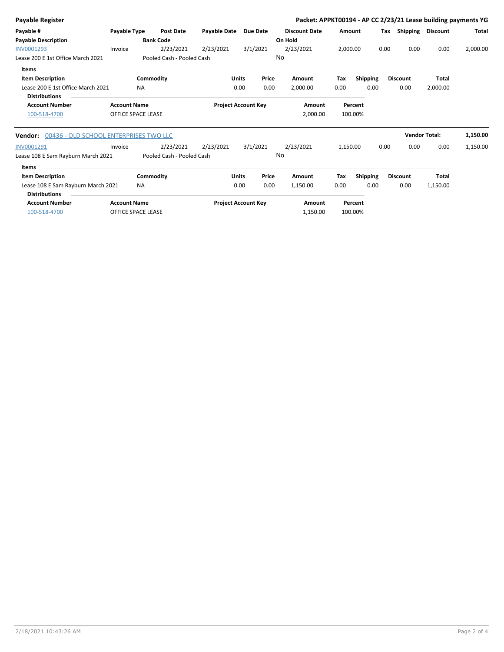| <b>Payable Register</b>                               |                           |                           |                                      |                 |        | Packet: APPKT00194 - AP CC 2/23/21 Lease building payments YG |          |                 |      |                       |              |              |
|-------------------------------------------------------|---------------------------|---------------------------|--------------------------------------|-----------------|--------|---------------------------------------------------------------|----------|-----------------|------|-----------------------|--------------|--------------|
| Payable #                                             | Payable Type              | <b>Post Date</b>          | <b>Payable Date</b>                  | <b>Due Date</b> |        | <b>Discount Date</b>                                          | Amount   |                 |      | Tax Shipping Discount |              | <b>Total</b> |
| <b>Payable Description</b>                            |                           | <b>Bank Code</b>          |                                      |                 |        | On Hold                                                       |          |                 |      |                       |              |              |
| INV0001293                                            | Invoice                   | 2/23/2021                 | 2/23/2021                            | 3/1/2021        |        | 2/23/2021                                                     | 2,000.00 |                 | 0.00 | 0.00                  | 0.00         | 2,000.00     |
| Lease 200 E 1st Office March 2021                     |                           | Pooled Cash - Pooled Cash |                                      |                 | No     |                                                               |          |                 |      |                       |              |              |
| Items                                                 |                           |                           |                                      |                 |        |                                                               |          |                 |      |                       |              |              |
| <b>Item Description</b>                               |                           | Commodity                 |                                      | Units           | Price  | Amount                                                        | Tax      | <b>Shipping</b> |      | <b>Discount</b>       | <b>Total</b> |              |
| Lease 200 E 1st Office March 2021                     |                           | <b>NA</b>                 |                                      | 0.00            | 0.00   | 2,000.00                                                      | 0.00     | 0.00            |      | 0.00                  | 2,000.00     |              |
| <b>Distributions</b>                                  |                           |                           |                                      |                 |        |                                                               |          |                 |      |                       |              |              |
| <b>Account Number</b><br><b>Account Name</b>          |                           |                           | <b>Project Account Key</b><br>Amount |                 |        |                                                               | Percent  |                 |      |                       |              |              |
| 100-518-4700                                          | <b>OFFICE SPACE LEASE</b> |                           |                                      |                 |        | 2,000.00                                                      |          | 100.00%         |      |                       |              |              |
| <b>Vendor: 00436 - OLD SCHOOL ENTERPRISES TWO LLC</b> |                           |                           |                                      |                 |        |                                                               |          |                 |      | <b>Vendor Total:</b>  |              | 1,150.00     |
| INV0001291                                            | Invoice                   | 2/23/2021                 | 2/23/2021                            | 3/1/2021        |        | 2/23/2021                                                     | 1,150.00 |                 | 0.00 | 0.00                  | 0.00         | 1,150.00     |
| Lease 108 E Sam Rayburn March 2021                    |                           | Pooled Cash - Pooled Cash |                                      |                 | No     |                                                               |          |                 |      |                       |              |              |
| Items                                                 |                           |                           |                                      |                 |        |                                                               |          |                 |      |                       |              |              |
| <b>Item Description</b>                               |                           | Commodity                 |                                      | <b>Units</b>    | Price  | Amount                                                        | Tax      | <b>Shipping</b> |      | <b>Discount</b>       | <b>Total</b> |              |
| Lease 108 E Sam Rayburn March 2021                    |                           | <b>NA</b>                 |                                      | 0.00            | 0.00   | 1,150.00                                                      | 0.00     | 0.00            |      | 0.00                  | 1,150.00     |              |
| <b>Distributions</b>                                  |                           |                           |                                      |                 |        |                                                               |          |                 |      |                       |              |              |
| <b>Account Number</b>                                 | <b>Account Name</b>       |                           | <b>Project Account Key</b>           |                 | Amount |                                                               | Percent  |                 |      |                       |              |              |
| 100-518-4700                                          | OFFICE SPACE LEASE        |                           |                                      |                 |        | 1,150.00                                                      |          | 100.00%         |      |                       |              |              |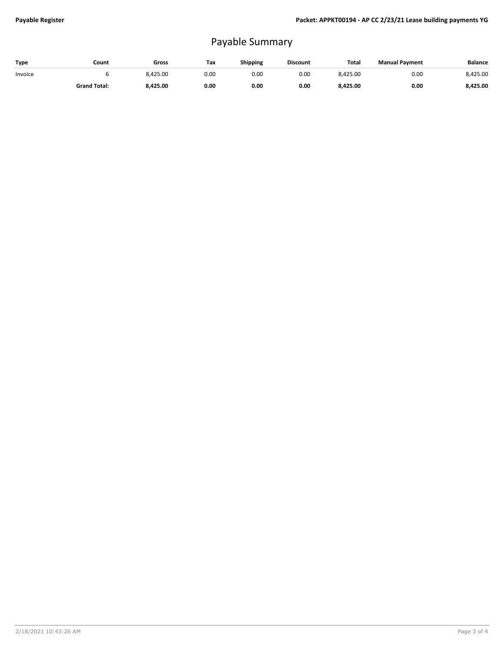## Payable Summary

| Type    | Count               | Gross    | Tax  | Shipping | <b>Discount</b> | Total    | <b>Manual Payment</b> | <b>Balance</b> |
|---------|---------------------|----------|------|----------|-----------------|----------|-----------------------|----------------|
| Invoice |                     | 8.425.00 | 0.00 | 0.00     | 0.00            | 8.425.00 | 0.00                  | 8.425.00       |
|         | <b>Grand Total:</b> | 8,425.00 | 0.00 | 0.00     | 0.00            | 8,425.00 | 0.00                  | 8.425.00       |